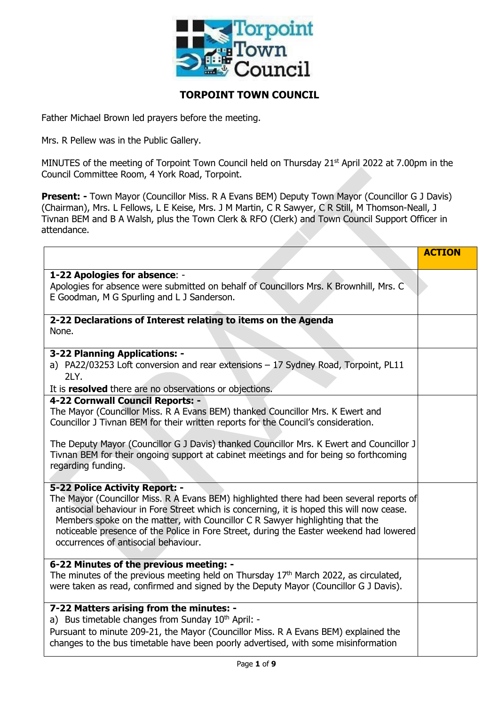

# **TORPOINT TOWN COUNCIL**

Father Michael Brown led prayers before the meeting.

Mrs. R Pellew was in the Public Gallery.

MINUTES of the meeting of Torpoint Town Council held on Thursday 21<sup>st</sup> April 2022 at 7.00pm in the Council Committee Room, 4 York Road, Torpoint.

**Present: -** Town Mayor (Councillor Miss. R A Evans BEM) Deputy Town Mayor (Councillor G J Davis) (Chairman), Mrs. L Fellows, L E Keise, Mrs. J M Martin, C R Sawyer, C R Still, M Thomson-Neall, J Tivnan BEM and B A Walsh, plus the Town Clerk & RFO (Clerk) and Town Council Support Officer in attendance.

|                                                                                                                                                                                                                                                                                                                                                                                                                                             | <b>ACTION</b> |
|---------------------------------------------------------------------------------------------------------------------------------------------------------------------------------------------------------------------------------------------------------------------------------------------------------------------------------------------------------------------------------------------------------------------------------------------|---------------|
| 1-22 Apologies for absence: -<br>Apologies for absence were submitted on behalf of Councillors Mrs. K Brownhill, Mrs. C<br>E Goodman, M G Spurling and L J Sanderson.                                                                                                                                                                                                                                                                       |               |
| 2-22 Declarations of Interest relating to items on the Agenda<br>None.                                                                                                                                                                                                                                                                                                                                                                      |               |
| 3-22 Planning Applications: -<br>a) PA22/03253 Loft conversion and rear extensions - 17 Sydney Road, Torpoint, PL11<br>2LY.<br>It is resolved there are no observations or objections.                                                                                                                                                                                                                                                      |               |
| 4-22 Cornwall Council Reports: -<br>The Mayor (Councillor Miss. R A Evans BEM) thanked Councillor Mrs. K Ewert and<br>Councillor J Tivnan BEM for their written reports for the Council's consideration.                                                                                                                                                                                                                                    |               |
| The Deputy Mayor (Councillor G J Davis) thanked Councillor Mrs. K Ewert and Councillor J<br>Tivnan BEM for their ongoing support at cabinet meetings and for being so forthcoming<br>regarding funding.                                                                                                                                                                                                                                     |               |
| 5-22 Police Activity Report: -<br>The Mayor (Councillor Miss. R A Evans BEM) highlighted there had been several reports of<br>antisocial behaviour in Fore Street which is concerning, it is hoped this will now cease.<br>Members spoke on the matter, with Councillor C R Sawyer highlighting that the<br>noticeable presence of the Police in Fore Street, during the Easter weekend had lowered<br>occurrences of antisocial behaviour. |               |
| 6-22 Minutes of the previous meeting: -<br>The minutes of the previous meeting held on Thursday 17 <sup>th</sup> March 2022, as circulated,<br>were taken as read, confirmed and signed by the Deputy Mayor (Councillor G J Davis).                                                                                                                                                                                                         |               |
| 7-22 Matters arising from the minutes: -<br>a) Bus timetable changes from Sunday 10 <sup>th</sup> April: -<br>Pursuant to minute 209-21, the Mayor (Councillor Miss. R A Evans BEM) explained the<br>changes to the bus timetable have been poorly advertised, with some misinformation                                                                                                                                                     |               |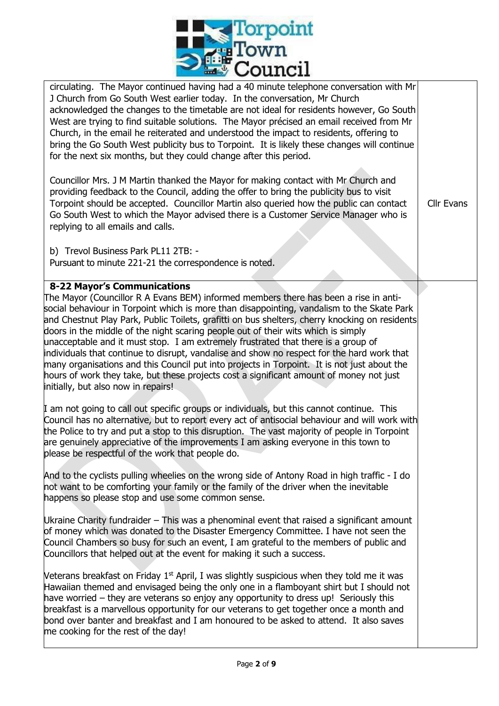

| <b>--------</b>                                                                                                                                                                                                                                                                                                                                                                                                                                                                                                                                                                                                                                                                                                                                                                                                                                                                                                                                                                                                                                                                                                                                                                                                                                                               |                   |
|-------------------------------------------------------------------------------------------------------------------------------------------------------------------------------------------------------------------------------------------------------------------------------------------------------------------------------------------------------------------------------------------------------------------------------------------------------------------------------------------------------------------------------------------------------------------------------------------------------------------------------------------------------------------------------------------------------------------------------------------------------------------------------------------------------------------------------------------------------------------------------------------------------------------------------------------------------------------------------------------------------------------------------------------------------------------------------------------------------------------------------------------------------------------------------------------------------------------------------------------------------------------------------|-------------------|
| circulating. The Mayor continued having had a 40 minute telephone conversation with Mr<br>J Church from Go South West earlier today. In the conversation, Mr Church<br>acknowledged the changes to the timetable are not ideal for residents however, Go South<br>West are trying to find suitable solutions. The Mayor précised an email received from Mr<br>Church, in the email he reiterated and understood the impact to residents, offering to<br>bring the Go South West publicity bus to Torpoint. It is likely these changes will continue<br>for the next six months, but they could change after this period.                                                                                                                                                                                                                                                                                                                                                                                                                                                                                                                                                                                                                                                      |                   |
| Councillor Mrs. J M Martin thanked the Mayor for making contact with Mr Church and<br>providing feedback to the Council, adding the offer to bring the publicity bus to visit<br>Torpoint should be accepted. Councillor Martin also queried how the public can contact<br>Go South West to which the Mayor advised there is a Customer Service Manager who is<br>replying to all emails and calls.                                                                                                                                                                                                                                                                                                                                                                                                                                                                                                                                                                                                                                                                                                                                                                                                                                                                           | <b>Cllr Evans</b> |
| b) Trevol Business Park PL11 2TB: -<br>Pursuant to minute 221-21 the correspondence is noted.                                                                                                                                                                                                                                                                                                                                                                                                                                                                                                                                                                                                                                                                                                                                                                                                                                                                                                                                                                                                                                                                                                                                                                                 |                   |
| <b>8-22 Mayor's Communications</b><br>The Mayor (Councillor R A Evans BEM) informed members there has been a rise in anti-<br>social behaviour in Torpoint which is more than disappointing, vandalism to the Skate Park<br>and Chestnut Play Park, Public Toilets, grafitti on bus shelters, cherry knocking on residents<br>doors in the middle of the night scaring people out of their wits which is simply<br>unacceptable and it must stop. I am extremely frustrated that there is a group of<br>individuals that continue to disrupt, vandalise and show no respect for the hard work that<br>many organisations and this Council put into projects in Torpoint. It is not just about the<br>hours of work they take, but these projects cost a significant amount of money not just<br>initially, but also now in repairs!<br>I am not going to call out specific groups or individuals, but this cannot continue. This<br>Council has no alternative, but to report every act of antisocial behaviour and will work with<br>the Police to try and put a stop to this disruption. The vast majority of people in Torpoint<br>are genuinely appreciative of the improvements I am asking everyone in this town to<br>please be respectful of the work that people do. |                   |
| And to the cyclists pulling wheelies on the wrong side of Antony Road in high traffic - I do<br>not want to be comforting your family or the family of the driver when the inevitable<br>happens so please stop and use some common sense.<br>Ukraine Charity fundraider – This was a phenominal event that raised a significant amount<br>of money which was donated to the Disaster Emergency Committee. I have not seen the<br>Council Chambers so busy for such an event, I am grateful to the members of public and<br>Councillors that helped out at the event for making it such a success.                                                                                                                                                                                                                                                                                                                                                                                                                                                                                                                                                                                                                                                                            |                   |
| Veterans breakfast on Friday 1 <sup>st</sup> April, I was slightly suspicious when they told me it was<br>Hawaiian themed and envisaged being the only one in a flamboyant shirt but I should not<br>have worried – they are veterans so enjoy any opportunity to dress up! Seriously this<br>breakfast is a marvellous opportunity for our veterans to get together once a month and<br>bond over banter and breakfast and I am honoured to be asked to attend. It also saves<br>me cooking for the rest of the day!                                                                                                                                                                                                                                                                                                                                                                                                                                                                                                                                                                                                                                                                                                                                                         |                   |

Π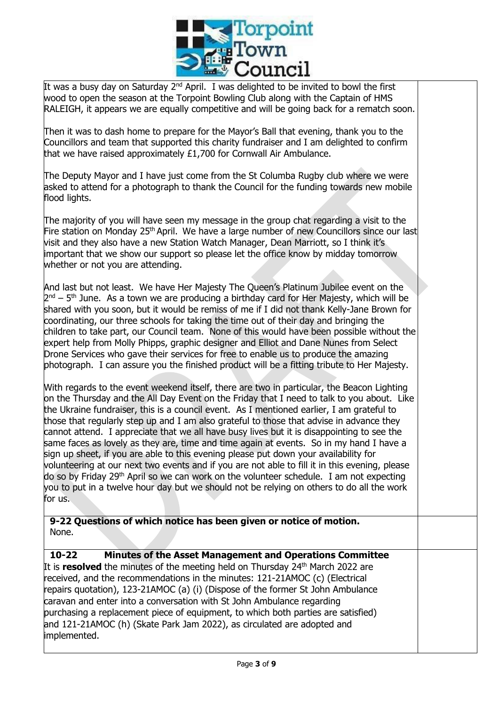

It was a busy day on Saturday  $2^{nd}$  April. I was delighted to be invited to bowl the first wood to open the season at the Torpoint Bowling Club along with the Captain of HMS RALEIGH, it appears we are equally competitive and will be going back for a rematch soon.

Then it was to dash home to prepare for the Mayor's Ball that evening, thank you to the Councillors and team that supported this charity fundraiser and I am delighted to confirm that we have raised approximately £1,700 for Cornwall Air Ambulance.

The Deputy Mayor and I have just come from the St Columba Rugby club where we were asked to attend for a photograph to thank the Council for the funding towards new mobile flood lights.

The majority of you will have seen my message in the group chat regarding a visit to the Fire station on Monday 25<sup>th</sup> April. We have a large number of new Councillors since our last visit and they also have a new Station Watch Manager, Dean Marriott, so I think it's important that we show our support so please let the office know by midday tomorrow whether or not you are attending.

And last but not least. We have Her Majesty The Queen's Platinum Jubilee event on the  $2<sup>nd</sup> - 5<sup>th</sup>$  June. As a town we are producing a birthday card for Her Majesty, which will be shared with you soon, but it would be remiss of me if I did not thank Kelly-Jane Brown for coordinating, our three schools for taking the time out of their day and bringing the children to take part, our Council team. None of this would have been possible without the expert help from Molly Phipps, graphic designer and Elliot and Dane Nunes from Select Drone Services who gave their services for free to enable us to produce the amazing photograph. I can assure you the finished product will be a fitting tribute to Her Majesty.

With regards to the event weekend itself, there are two in particular, the Beacon Lighting on the Thursday and the All Day Event on the Friday that I need to talk to you about. Like the Ukraine fundraiser, this is a council event. As I mentioned earlier, I am grateful to those that regularly step up and I am also grateful to those that advise in advance they cannot attend. I appreciate that we all have busy lives but it is disappointing to see the same faces as lovely as they are, time and time again at events. So in my hand I have a sign up sheet, if you are able to this evening please put down your availability for volunteering at our next two events and if you are not able to fill it in this evening, please do so by Friday 29th April so we can work on the volunteer schedule. I am not expecting you to put in a twelve hour day but we should not be relying on others to do all the work for us.

**9-22 Questions of which notice has been given or notice of motion.** None.

**10-22 Minutes of the Asset Management and Operations Committee** It is **resolved** the minutes of the meeting held on Thursday 24<sup>th</sup> March 2022 are received, and the recommendations in the minutes: 121-21AMOC (c) (Electrical repairs quotation), 123-21AMOC (a) (i) (Dispose of the former St John Ambulance caravan and enter into a conversation with St John Ambulance regarding purchasing a replacement piece of equipment, to which both parties are satisfied) and 121-21AMOC (h) (Skate Park Jam 2022), as circulated are adopted and implemented.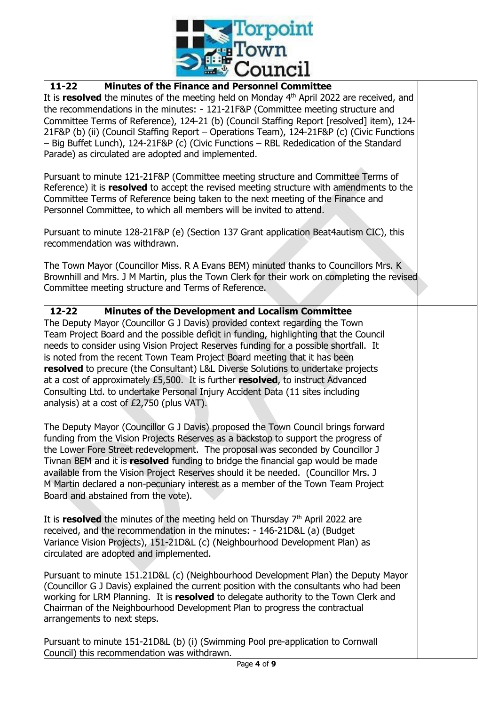

## **11-22 Minutes of the Finance and Personnel Committee**

It is **resolved** the minutes of the meeting held on Monday 4<sup>th</sup> April 2022 are received, and the recommendations in the minutes: - 121-21F&P (Committee meeting structure and Committee Terms of Reference), 124-21 (b) (Council Staffing Report [resolved] item), 124- 21F&P (b) (ii) (Council Staffing Report – Operations Team), 124-21F&P (c) (Civic Functions – Big Buffet Lunch), 124-21F&P (c) (Civic Functions – RBL Rededication of the Standard Parade) as circulated are adopted and implemented.

Pursuant to minute 121-21F&P (Committee meeting structure and Committee Terms of Reference) it is **resolved** to accept the revised meeting structure with amendments to the Committee Terms of Reference being taken to the next meeting of the Finance and Personnel Committee, to which all members will be invited to attend.

Pursuant to minute 128-21F&P (e) (Section 137 Grant application Beat4autism CIC), this recommendation was withdrawn.

The Town Mayor (Councillor Miss. R A Evans BEM) minuted thanks to Councillors Mrs. K Brownhill and Mrs. J M Martin, plus the Town Clerk for their work on completing the revised Committee meeting structure and Terms of Reference.

## **12-22 Minutes of the Development and Localism Committee**

The Deputy Mayor (Councillor G J Davis) provided context regarding the Town Team Project Board and the possible deficit in funding, highlighting that the Council needs to consider using Vision Project Reserves funding for a possible shortfall. It is noted from the recent Town Team Project Board meeting that it has been **resolved** to precure (the Consultant) L&L Diverse Solutions to undertake projects at a cost of approximately £5,500. It is further **resolved**, to instruct Advanced Consulting Ltd. to undertake Personal Injury Accident Data (11 sites including analysis) at a cost of £2,750 (plus VAT).

The Deputy Mayor (Councillor G J Davis) proposed the Town Council brings forward funding from the Vision Projects Reserves as a backstop to support the progress of the Lower Fore Street redevelopment. The proposal was seconded by Councillor J Tivnan BEM and it is **resolved** funding to bridge the financial gap would be made available from the Vision Project Reserves should it be needed. (Councillor Mrs. J M Martin declared a non-pecuniary interest as a member of the Town Team Project Board and abstained from the vote).

It is **resolved** the minutes of the meeting held on Thursday 7<sup>th</sup> April 2022 are received, and the recommendation in the minutes: - 146-21D&L (a) (Budget Variance Vision Projects), 151-21D&L (c) (Neighbourhood Development Plan) as circulated are adopted and implemented.

Pursuant to minute 151.21D&L (c) (Neighbourhood Development Plan) the Deputy Mayor (Councillor G J Davis) explained the current position with the consultants who had been working for LRM Planning. It is **resolved** to delegate authority to the Town Clerk and Chairman of the Neighbourhood Development Plan to progress the contractual arrangements to next steps.

Pursuant to minute 151-21D&L (b) (i) (Swimming Pool pre-application to Cornwall Council) this recommendation was withdrawn.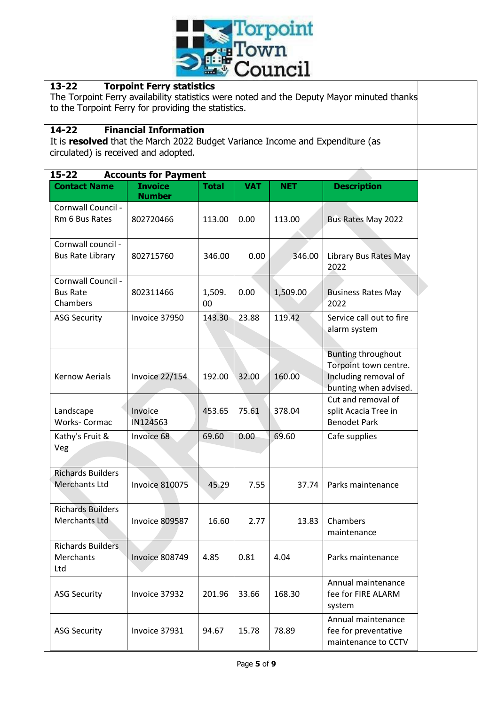

## **13-22 Torpoint Ferry statistics**

The Torpoint Ferry availability statistics were noted and the Deputy Mayor minuted thanks to the Torpoint Ferry for providing the statistics.

#### **14-22 Financial Information**

It is **resolved** that the March 2022 Budget Variance Income and Expenditure (as circulated) is received and adopted.

| $15 - 22$<br><b>Accounts for Payment</b>          |                                 |              |            |            |                                                                                                     |
|---------------------------------------------------|---------------------------------|--------------|------------|------------|-----------------------------------------------------------------------------------------------------|
| <b>Contact Name</b>                               | <b>Invoice</b><br><b>Number</b> | <b>Total</b> | <b>VAT</b> | <b>NET</b> | <b>Description</b>                                                                                  |
| Cornwall Council -<br>Rm 6 Bus Rates              | 802720466                       | 113.00       | 0.00       | 113.00     | <b>Bus Rates May 2022</b>                                                                           |
| Cornwall council -<br><b>Bus Rate Library</b>     | 802715760                       | 346.00       | 0.00       | 346.00     | Library Bus Rates May<br>2022                                                                       |
| Cornwall Council -<br><b>Bus Rate</b><br>Chambers | 802311466                       | 1,509.<br>00 | 0.00       | 1,509.00   | <b>Business Rates May</b><br>2022                                                                   |
| <b>ASG Security</b>                               | Invoice 37950                   | 143.30       | 23.88      | 119.42     | Service call out to fire<br>alarm system                                                            |
| <b>Kernow Aerials</b>                             | <b>Invoice 22/154</b>           | 192.00       | 32.00      | 160.00     | <b>Bunting throughout</b><br>Torpoint town centre.<br>Including removal of<br>bunting when advised. |
| Landscape<br>Works- Cormac                        | Invoice<br>IN124563             | 453.65       | 75.61      | 378.04     | Cut and removal of<br>split Acacia Tree in<br><b>Benodet Park</b>                                   |
| Kathy's Fruit &<br>Veg                            | Invoice 68                      | 69.60        | 0.00       | 69.60      | Cafe supplies                                                                                       |
| <b>Richards Builders</b><br><b>Merchants Ltd</b>  | <b>Invoice 810075</b>           | 45.29        | 7.55       | 37.74      | Parks maintenance                                                                                   |
| <b>Richards Builders</b><br><b>Merchants Ltd</b>  | <b>Invoice 809587</b>           | 16.60        | 2.77       | 13.83      | Chambers<br>maintenance                                                                             |
| Richards Builders<br>Merchants<br>Ltd             | Invoice 808749                  | 4.85         | 0.81       | 4.04       | Parks maintenance                                                                                   |
| <b>ASG Security</b>                               | Invoice 37932                   | 201.96       | 33.66      | 168.30     | Annual maintenance<br>fee for FIRE ALARM<br>system                                                  |
| <b>ASG Security</b>                               | Invoice 37931                   | 94.67        | 15.78      | 78.89      | Annual maintenance<br>fee for preventative<br>maintenance to CCTV                                   |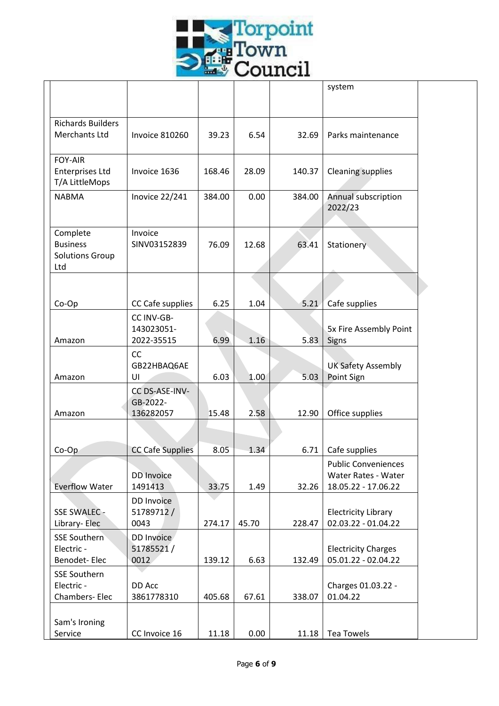

|                                                              |                                        |        |       |        | system                                                                   |  |
|--------------------------------------------------------------|----------------------------------------|--------|-------|--------|--------------------------------------------------------------------------|--|
| <b>Richards Builders</b><br><b>Merchants Ltd</b>             | <b>Invoice 810260</b>                  | 39.23  | 6.54  | 32.69  | Parks maintenance                                                        |  |
| <b>FOY-AIR</b><br><b>Enterprises Ltd</b><br>T/A LittleMops   | Invoice 1636                           | 168.46 | 28.09 | 140.37 | <b>Cleaning supplies</b>                                                 |  |
| <b>NABMA</b>                                                 | Inovice 22/241                         | 384.00 | 0.00  | 384.00 | Annual subscription<br>2022/23                                           |  |
| Complete<br><b>Business</b><br><b>Solutions Group</b><br>Ltd | Invoice<br>SINV03152839                | 76.09  | 12.68 | 63.41  | Stationery                                                               |  |
|                                                              |                                        |        |       |        |                                                                          |  |
| Co-Op                                                        | CC Cafe supplies                       | 6.25   | 1.04  | 5.21   | Cafe supplies                                                            |  |
| Amazon                                                       | CC INV-GB-<br>143023051-<br>2022-35515 | 6.99   | 1.16  | 5.83   | 5x Fire Assembly Point<br>Signs                                          |  |
| Amazon                                                       | <b>CC</b><br>GB22HBAQ6AE<br>UI         | 6.03   | 1.00  | 5.03   | <b>UK Safety Assembly</b><br>Point Sign                                  |  |
|                                                              | CC DS-ASE-INV-<br>GB-2022-             |        |       |        |                                                                          |  |
| Amazon                                                       | 136282057                              | 15.48  | 2.58  | 12.90  | Office supplies                                                          |  |
| $Co$ - $Op$                                                  | <b>CC Cafe Supplies</b>                | 8.05   | 1.34  | 6.71   | Cafe supplies                                                            |  |
| <b>Everflow Water</b>                                        | <b>DD</b> Invoice<br>1491413           | 33.75  | 1.49  | 32.26  | <b>Public Conveniences</b><br>Water Rates - Water<br>18.05.22 - 17.06.22 |  |
| SSE SWALEC -<br>Library- Elec                                | <b>DD</b> Invoice<br>51789712/<br>0043 | 274.17 | 45.70 | 228.47 | <b>Electricity Library</b><br>02.03.22 - 01.04.22                        |  |
| <b>SSE Southern</b><br>Electric -<br>Benodet-Elec            | DD Invoice<br>51785521/<br>0012        | 139.12 | 6.63  | 132.49 | <b>Electricity Charges</b><br>05.01.22 - 02.04.22                        |  |
| <b>SSE Southern</b><br>Electric -<br>Chambers-Elec           | DD Acc<br>3861778310                   | 405.68 | 67.61 | 338.07 | Charges 01.03.22 -<br>01.04.22                                           |  |
| Sam's Ironing<br>Service                                     | CC Invoice 16                          | 11.18  | 0.00  | 11.18  | <b>Tea Towels</b>                                                        |  |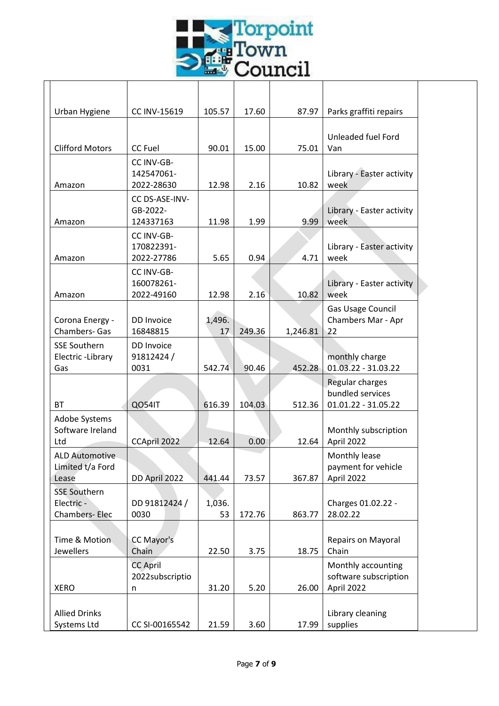

| Urban Hygiene<br>CC INV-15619<br>105.57<br>17.60<br>87.97                  |                        |
|----------------------------------------------------------------------------|------------------------|
|                                                                            | Parks graffiti repairs |
|                                                                            |                        |
| Unleaded fuel Ford                                                         |                        |
| <b>Clifford Motors</b><br>90.01<br>15.00<br>75.01<br><b>CC Fuel</b><br>Van |                        |
| CC INV-GB-                                                                 |                        |
| Library - Easter activity<br>142547061-                                    |                        |
| 12.98<br>10.82<br>2022-28630<br>2.16<br>week<br>Amazon                     |                        |
| CC DS-ASE-INV-                                                             |                        |
| GB-2022-<br>Library - Easter activity                                      |                        |
| 11.98<br>9.99<br>week<br>124337163<br>1.99<br>Amazon                       |                        |
| CC INV-GB-                                                                 |                        |
| 170822391-<br>Library - Easter activity                                    |                        |
| 5.65<br>0.94<br>4.71<br>week<br>2022-27786<br>Amazon                       |                        |
| CC INV-GB-                                                                 |                        |
| 160078261-<br>Library - Easter activity                                    |                        |
| 12.98<br>2.16<br>10.82<br>week<br>2022-49160<br>Amazon                     |                        |
| Gas Usage Council                                                          |                        |
| Chambers Mar - Apr<br>Corona Energy -<br>DD Invoice<br>1,496.              |                        |
| <b>Chambers- Gas</b><br>16848815<br>249.36<br>1,246.81<br>22<br>17         |                        |
| <b>SSE Southern</b><br>DD Invoice                                          |                        |
| 91812424/<br>Electric-Library<br>monthly charge                            |                        |
| 01.03.22 - 31.03.22<br>0031<br>452.28<br>Gas<br>542.74<br>90.46            |                        |
| Regular charges                                                            |                        |
| bundled services                                                           |                        |
| QO54IT<br>616.39<br>104.03<br>512.36<br>01.01.22 - 31.05.22<br><b>BT</b>   |                        |
| Adobe Systems                                                              |                        |
| Software Ireland<br>Monthly subscription                                   |                        |
| CCApril 2022<br>12.64<br>0.00<br>April 2022<br>12.64<br>Ltd                |                        |
| <b>ALD Automotive</b><br>Monthly lease                                     |                        |
| Limited t/a Ford<br>payment for vehicle                                    |                        |
| DD April 2022<br>367.87<br>April 2022<br>Lease<br>441.44<br>73.57          |                        |
| <b>SSE Southern</b>                                                        |                        |
| Electric -<br>DD 91812424 /<br>Charges 01.02.22 -<br>1,036.                |                        |
| Chambers-Elec<br>0030<br>53<br>863.77<br>28.02.22<br>172.76                |                        |
|                                                                            |                        |
| Time & Motion<br>CC Mayor's<br>Repairs on Mayoral                          |                        |
| Jewellers<br>Chain<br>22.50<br>18.75<br>Chain<br>3.75                      |                        |
| <b>CC April</b><br>Monthly accounting                                      |                        |
| software subscription<br>2022subscriptio                                   |                        |
| 31.20<br>26.00<br>April 2022<br><b>XERO</b><br>5.20<br>n                   |                        |
|                                                                            |                        |
|                                                                            |                        |
| <b>Allied Drinks</b><br>Library cleaning                                   |                        |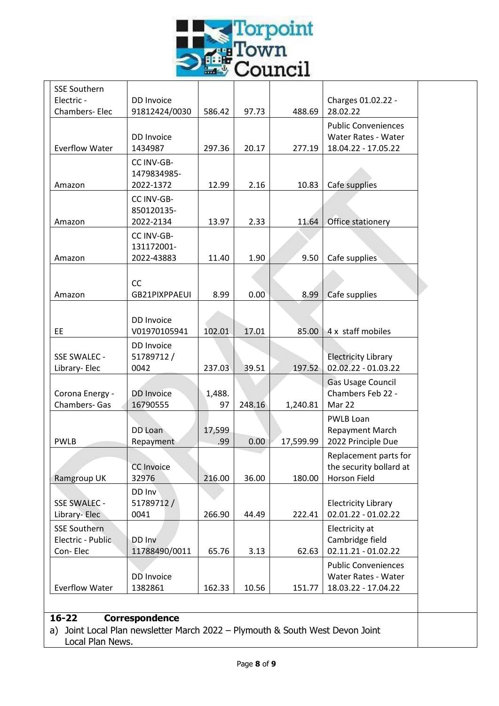

| <b>SSE Southern</b>          |                          |        |        |           |                                                   |
|------------------------------|--------------------------|--------|--------|-----------|---------------------------------------------------|
| Electric -                   | DD Invoice               |        |        |           | Charges 01.02.22 -                                |
| Chambers- Elec               | 91812424/0030            | 586.42 | 97.73  | 488.69    | 28.02.22                                          |
|                              | DD Invoice               |        |        |           | <b>Public Conveniences</b><br>Water Rates - Water |
| <b>Everflow Water</b>        | 1434987                  | 297.36 | 20.17  | 277.19    | 18.04.22 - 17.05.22                               |
|                              | CC INV-GB-               |        |        |           |                                                   |
|                              | 1479834985-              |        |        |           |                                                   |
| Amazon                       | 2022-1372                | 12.99  | 2.16   | 10.83     | Cafe supplies                                     |
|                              | CC INV-GB-               |        |        |           |                                                   |
|                              | 850120135-               |        |        |           |                                                   |
| Amazon                       | 2022-2134                | 13.97  | 2.33   | 11.64     | Office stationery                                 |
|                              | CC INV-GB-               |        |        |           |                                                   |
| Amazon                       | 131172001-<br>2022-43883 | 11.40  | 1.90   | 9.50      | Cafe supplies                                     |
|                              |                          |        |        |           |                                                   |
|                              | CC                       |        |        |           |                                                   |
| Amazon                       | GB21PIXPPAEUI            | 8.99   | 0.00   | 8.99      | Cafe supplies                                     |
|                              |                          |        |        |           |                                                   |
|                              | DD Invoice               |        |        |           |                                                   |
| EE.                          | V01970105941             | 102.01 | 17.01  | 85.00     | 4 x staff mobiles                                 |
|                              | DD Invoice               |        |        |           |                                                   |
| SSE SWALEC -                 | 51789712/                |        |        |           | <b>Electricity Library</b><br>02.02.22 - 01.03.22 |
| Library- Elec                | 0042                     | 237.03 | 39.51  | 197.52    |                                                   |
| Corona Energy -              | <b>DD</b> Invoice        | 1,488. |        |           | Gas Usage Council<br>Chambers Feb 22 -            |
| <b>Chambers- Gas</b>         | 16790555                 | 97     | 248.16 | 1,240.81  | Mar 22                                            |
|                              |                          |        |        |           | PWLB Loan                                         |
|                              | DD Loan                  | 17,599 |        |           | Repayment March                                   |
| <b>PWLB</b>                  | Repayment                | .99    | 0.00   | 17,599.99 | 2022 Principle Due                                |
|                              |                          |        |        |           | Replacement parts for                             |
|                              | <b>CC Invoice</b>        |        |        |           | the security bollard at                           |
| Ramgroup UK                  | 32976                    | 216.00 | 36.00  | 180.00    | Horson Field                                      |
|                              | DD Inv                   |        |        |           |                                                   |
| SSE SWALEC -<br>Library-Elec | 51789712/<br>0041        | 266.90 | 44.49  | 222.41    | <b>Electricity Library</b><br>02.01.22 - 01.02.22 |
| <b>SSE Southern</b>          |                          |        |        |           | Electricity at                                    |
| Electric - Public            | DD Inv                   |        |        |           | Cambridge field                                   |
| Con-Elec                     | 11788490/0011            | 65.76  | 3.13   | 62.63     | $02.11.21 - 01.02.22$                             |
|                              |                          |        |        |           | <b>Public Conveniences</b>                        |
|                              | DD Invoice               |        |        |           | Water Rates - Water                               |
| <b>Everflow Water</b>        | 1382861                  | 162.33 | 10.56  | 151.77    | 18.03.22 - 17.04.22                               |

Local Plan News.